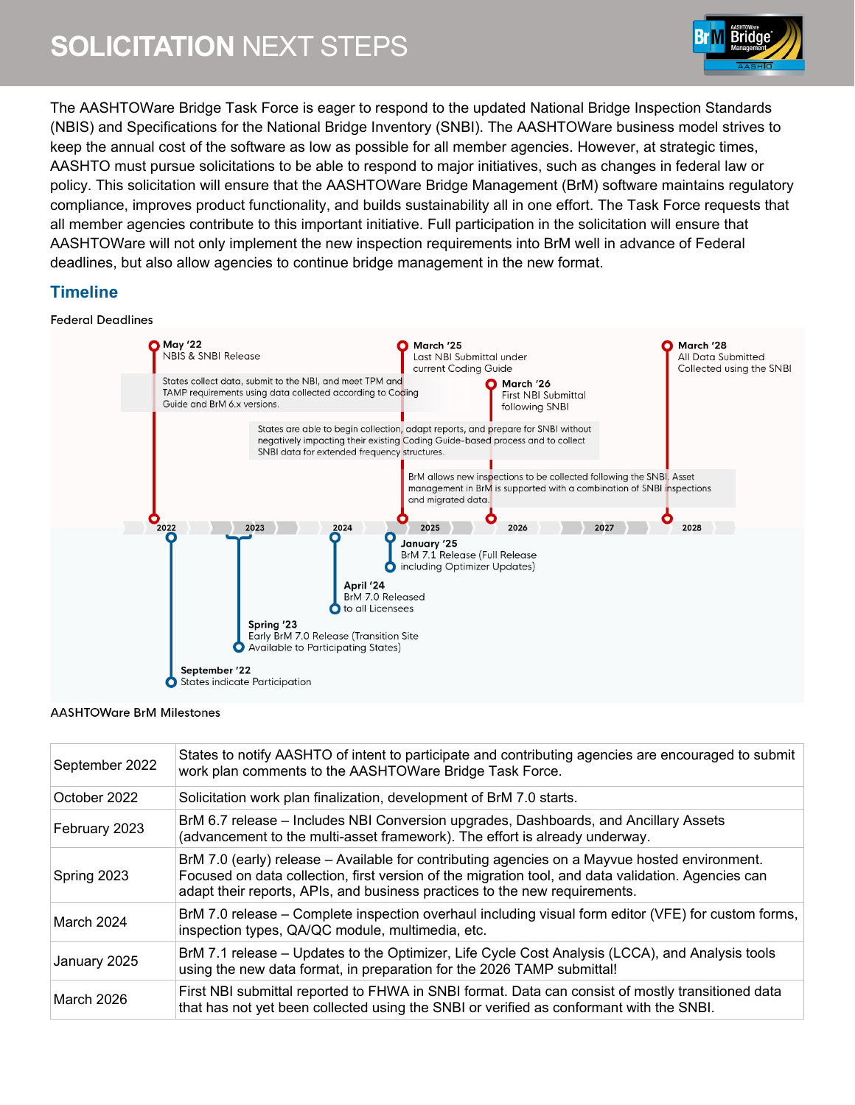

The AASHTOWare Bridge Task Force is eager to respond to the updated National Bridge Inspection Standards (NBIS) and Specifications for the National Bridge Inventory (SNBI). The AASHTOWare business model strives to keep the annual cost of the software as low as possible for all member agencies. However, at strategic times, AASHTO must pursue solicitations to be able to respond to major initiatives, such as changes in federal law or policy. This solicitation will ensure that the AASHTOWare Bridge Management (BrM) software maintains regulatory compliance, improves product functionality, and builds sustainability all in one effort. The Task Force requests that all member agencies contribute to this important initiative. Full participation in the solicitation will ensure that AASHTOWare will not only implement the new inspection requirements into BrM well in advance of Federal deadlines, but also allow agencies to continue bridge management in the new format.

# **Timeline**

#### **Federal Deadlines**



#### **AASHTOWare BrM Milestones**

| September 2022 | States to notify AASHTO of intent to participate and contributing agencies are encouraged to submit<br>work plan comments to the AASHTOWare Bridge Task Force.                                                                                                                    |
|----------------|-----------------------------------------------------------------------------------------------------------------------------------------------------------------------------------------------------------------------------------------------------------------------------------|
| October 2022   | Solicitation work plan finalization, development of BrM 7.0 starts.                                                                                                                                                                                                               |
| February 2023  | BrM 6.7 release – Includes NBI Conversion upgrades, Dashboards, and Ancillary Assets<br>(advancement to the multi-asset framework). The effort is already underway.                                                                                                               |
| Spring 2023    | BrM 7.0 (early) release - Available for contributing agencies on a Mayvue hosted environment.<br>Focused on data collection, first version of the migration tool, and data validation. Agencies can<br>adapt their reports, APIs, and business practices to the new requirements. |
| March 2024     | BrM 7.0 release – Complete inspection overhaul including visual form editor (VFE) for custom forms,<br>inspection types, QA/QC module, multimedia, etc.                                                                                                                           |
| January 2025   | BrM 7.1 release - Updates to the Optimizer, Life Cycle Cost Analysis (LCCA), and Analysis tools<br>using the new data format, in preparation for the 2026 TAMP submittal!                                                                                                         |
| March 2026     | First NBI submittal reported to FHWA in SNBI format. Data can consist of mostly transitioned data<br>that has not yet been collected using the SNBI or verified as conformant with the SNBI.                                                                                      |